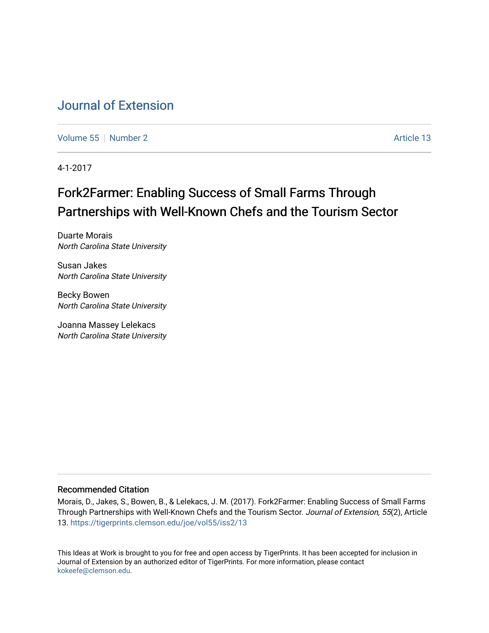# [Journal of Extension](https://tigerprints.clemson.edu/joe)

[Volume 55](https://tigerprints.clemson.edu/joe/vol55) [Number 2](https://tigerprints.clemson.edu/joe/vol55/iss2) Article 13

4-1-2017

# Fork2Farmer: Enabling Success of Small Farms Through Partnerships with Well-Known Chefs and the Tourism Sector

Duarte Morais North Carolina State University

Susan Jakes North Carolina State University

Becky Bowen North Carolina State University

Joanna Massey Lelekacs North Carolina State University

### Recommended Citation

Morais, D., Jakes, S., Bowen, B., & Lelekacs, J. M. (2017). Fork2Farmer: Enabling Success of Small Farms Through Partnerships with Well-Known Chefs and the Tourism Sector. Journal of Extension, 55(2), Article 13.<https://tigerprints.clemson.edu/joe/vol55/iss2/13>

This Ideas at Work is brought to you for free and open access by TigerPrints. It has been accepted for inclusion in Journal of Extension by an authorized editor of TigerPrints. For more information, please contact [kokeefe@clemson.edu](mailto:kokeefe@clemson.edu).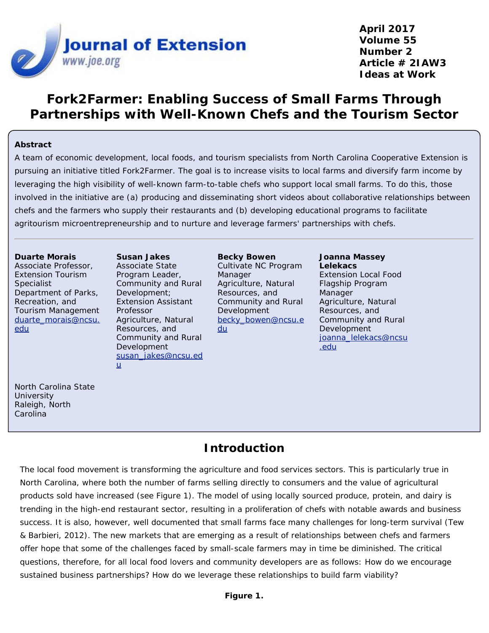

**April 2017 Volume 55 Number 2 Article # 2IAW3 Ideas at Work**

## **Fork2Farmer: Enabling Success of Small Farms Through Partnerships with Well-Known Chefs and the Tourism Sector**

### **Abstract**

A team of economic development, local foods, and tourism specialists from North Carolina Cooperative Extension is pursuing an initiative titled Fork2Farmer. The goal is to increase visits to local farms and diversify farm income by leveraging the high visibility of well-known farm-to-table chefs who support local small farms. To do this, those involved in the initiative are (a) producing and disseminating short videos about collaborative relationships between chefs and the farmers who supply their restaurants and (b) developing educational programs to facilitate agritourism microentrepreneurship and to nurture and leverage farmers' partnerships with chefs.

#### **Duarte Morais**

Associate Professor, Extension Tourism Specialist Department of Parks, Recreation, and Tourism Management [duarte\\_morais@ncsu.](mailto:duarte_morais@ncsu.edu) [edu](mailto:duarte_morais@ncsu.edu)

Program Leader, Community and Rural Development; Extension Assistant Professor Agriculture, Natural Resources, and Community and Rural Development [susan\\_jakes@ncsu.ed](mailto:susan_jakes@ncsu.edu) [u](mailto:susan_jakes@ncsu.edu)

**Susan Jakes** Associate State

#### **Becky Bowen** Cultivate NC Program Manager Agriculture, Natural Resources, and Community and Rural Development [becky\\_bowen@ncsu.e](mailto:becky_bowen@ncsu.edu) [du](mailto:becky_bowen@ncsu.edu)

#### **Joanna Massey Lelekacs** Extension Local Food Flagship Program Manager Agriculture, Natural Resources, and Community and Rural Development [joanna\\_lelekacs@ncsu](mailto:joanna_lelekacs@ncsu.edu) [.edu](mailto:joanna_lelekacs@ncsu.edu)

North Carolina State **University** Raleigh, North Carolina

## **Introduction**

The local food movement is transforming the agriculture and food services sectors. This is particularly true in North Carolina, where both the number of farms selling directly to consumers and the value of agricultural products sold have increased (see Figure 1). The model of using locally sourced produce, protein, and dairy is trending in the high-end restaurant sector, resulting in a proliferation of chefs with notable awards and business success. It is also, however, well documented that small farms face many challenges for long-term survival (Tew & Barbieri, 2012). The new markets that are emerging as a result of relationships between chefs and farmers offer hope that some of the challenges faced by small-scale farmers may in time be diminished. The critical questions, therefore, for all local food lovers and community developers are as follows: How do we encourage sustained business partnerships? How do we leverage these relationships to build farm viability?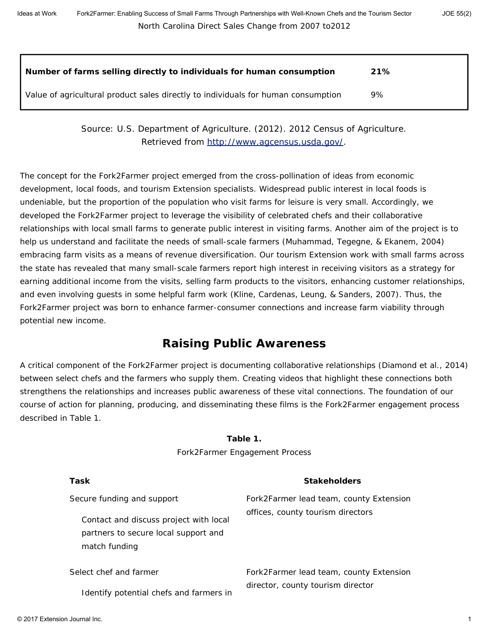| Number of farms selling directly to individuals for human consumption             | 21% |
|-----------------------------------------------------------------------------------|-----|
| Value of agricultural product sales directly to individuals for human consumption | 9%  |

Source: U.S. Department of Agriculture. (2012). *2012 Census of Agriculture*. Retrieved from<http://www.agcensus.usda.gov/>.

The concept for the Fork2Farmer project emerged from the cross-pollination of ideas from economic development, local foods, and tourism Extension specialists. Widespread public interest in local foods is undeniable, but the proportion of the population who visit farms for leisure is very small. Accordingly, we developed the Fork2Farmer project to leverage the visibility of celebrated chefs and their collaborative relationships with local small farms to generate public interest in visiting farms. Another aim of the project is to help us understand and facilitate the needs of small-scale farmers (Muhammad, Tegegne, & Ekanem, 2004) embracing farm visits as a means of revenue diversification. Our tourism Extension work with small farms across the state has revealed that many small-scale farmers report high interest in receiving visitors as a strategy for earning additional income from the visits, selling farm products to the visitors, enhancing customer relationships, and even involving guests in some helpful farm work (Kline, Cardenas, Leung, & Sanders, 2007). Thus, the Fork2Farmer project was born to enhance farmer-consumer connections and increase farm viability through potential new income.

# **Raising Public Awareness**

A critical component of the Fork2Farmer project is documenting collaborative relationships (Diamond et al., 2014) between select chefs and the farmers who supply them. Creating videos that highlight these connections both strengthens the relationships and increases public awareness of these vital connections. The foundation of our course of action for planning, producing, and disseminating these films is the Fork2Farmer engagement process described in Table 1.

### **Table 1.**

Fork2Farmer Engagement Process

| Task                                                                                            | <b>Stakeholders</b>                     |
|-------------------------------------------------------------------------------------------------|-----------------------------------------|
| Secure funding and support                                                                      | Fork2Farmer lead team, county Extension |
| Contact and discuss project with local<br>partners to secure local support and<br>match funding | offices, county tourism directors       |
| Select chef and farmer                                                                          | Fork2Farmer lead team, county Extension |
| Identify potential chefs and farmers in                                                         | director, county tourism director       |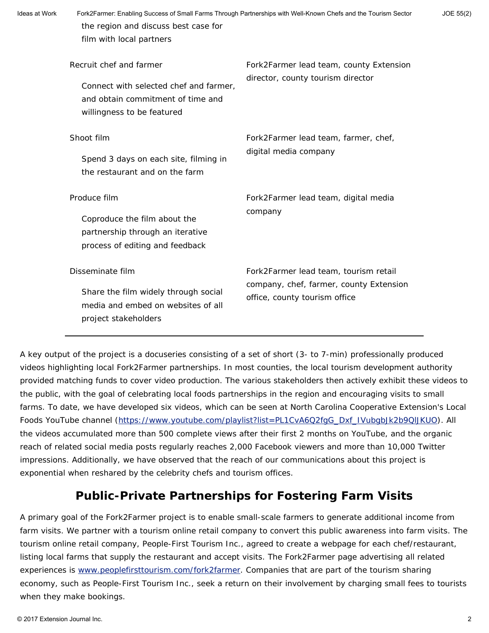| Ideas at Work | Fork2Farmer: Enabling Success of Small Farms Through Partnerships with Well-Known Chefs and the Tourism Sector<br>JOE 55(2)<br>the region and discuss best case for<br>film with local partners |                                                                                                                   |  |
|---------------|-------------------------------------------------------------------------------------------------------------------------------------------------------------------------------------------------|-------------------------------------------------------------------------------------------------------------------|--|
|               | Recruit chef and farmer<br>Connect with selected chef and farmer,<br>and obtain commitment of time and<br>willingness to be featured                                                            | Fork2Farmer lead team, county Extension<br>director, county tourism director                                      |  |
|               | Shoot film<br>Spend 3 days on each site, filming in<br>the restaurant and on the farm                                                                                                           | Fork2Farmer lead team, farmer, chef,<br>digital media company                                                     |  |
|               | Produce film<br>Coproduce the film about the<br>partnership through an iterative<br>process of editing and feedback                                                                             | Fork2Farmer lead team, digital media<br>company                                                                   |  |
|               | Disseminate film<br>Share the film widely through social<br>media and embed on websites of all<br>project stakeholders                                                                          | Fork2Farmer lead team, tourism retail<br>company, chef, farmer, county Extension<br>office, county tourism office |  |

A key output of the project is a docuseries consisting of a set of short (3- to 7-min) professionally produced videos highlighting local Fork2Farmer partnerships. In most counties, the local tourism development authority provided matching funds to cover video production. The various stakeholders then actively exhibit these videos to the public, with the goal of celebrating local foods partnerships in the region and encouraging visits to small farms. To date, we have developed six videos, which can be seen at North Carolina Cooperative Extension's Local Foods YouTube channel [\(https://www.youtube.com/playlist?list=PL1CvA6Q2fgG\\_Dxf\\_IVubgbJk2b9QlJKUO](https://www.youtube.com/playlist?list=PL1CvA6Q2fgG_Dxf_IVubgbJk2b9QlJKUO)). All the videos accumulated more than 500 complete views after their first 2 months on YouTube, and the organic reach of related social media posts regularly reaches 2,000 Facebook viewers and more than 10,000 Twitter impressions. Additionally, we have observed that the reach of our communications about this project is exponential when reshared by the celebrity chefs and tourism offices.

## **Public-Private Partnerships for Fostering Farm Visits**

A primary goal of the Fork2Farmer project is to enable small-scale farmers to generate additional income from farm visits. We partner with a tourism online retail company to convert this public awareness into farm visits. The tourism online retail company, People-First Tourism Inc., agreed to create a webpage for each chef/restaurant, listing local farms that supply the restaurant and accept visits. The Fork2Farmer page advertising all related experiences is [www.peoplefirsttourism.com/fork2farmer](http://www.peoplefirsttourism.com/fork2farmer). Companies that are part of the tourism sharing economy, such as People-First Tourism Inc., seek a return on their involvement by charging small fees to tourists when they make bookings.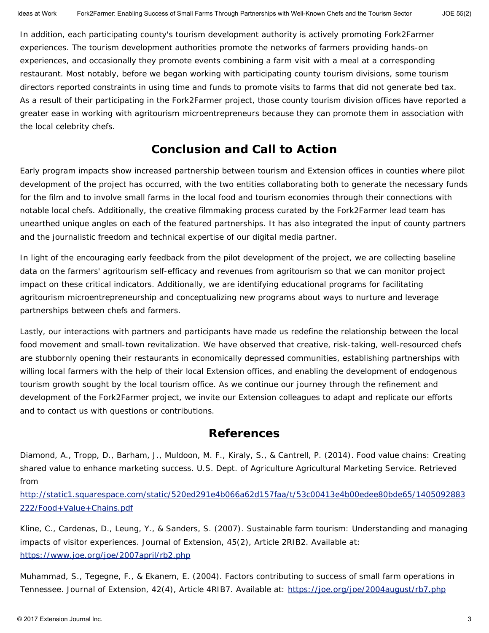In addition, each participating county's tourism development authority is actively promoting Fork2Farmer experiences. The tourism development authorities promote the networks of farmers providing hands-on experiences, and occasionally they promote events combining a farm visit with a meal at a corresponding restaurant. Most notably, before we began working with participating county tourism divisions, some tourism directors reported constraints in using time and funds to promote visits to farms that did not generate bed tax. As a result of their participating in the Fork2Farmer project, those county tourism division offices have reported a greater ease in working with agritourism microentrepreneurs because they can promote them in association with the local celebrity chefs.

### **Conclusion and Call to Action**

Early program impacts show increased partnership between tourism and Extension offices in counties where pilot development of the project has occurred, with the two entities collaborating both to generate the necessary funds for the film and to involve small farms in the local food and tourism economies through their connections with notable local chefs. Additionally, the creative filmmaking process curated by the Fork2Farmer lead team has unearthed unique angles on each of the featured partnerships. It has also integrated the input of county partners and the journalistic freedom and technical expertise of our digital media partner.

In light of the encouraging early feedback from the pilot development of the project, we are collecting baseline data on the farmers' agritourism self-efficacy and revenues from agritourism so that we can monitor project impact on these critical indicators. Additionally, we are identifying educational programs for facilitating agritourism microentrepreneurship and conceptualizing new programs about ways to nurture and leverage partnerships between chefs and farmers.

Lastly, our interactions with partners and participants have made us redefine the relationship between the local food movement and small-town revitalization. We have observed that creative, risk-taking, well-resourced chefs are stubbornly opening their restaurants in economically depressed communities, establishing partnerships with willing local farmers with the help of their local Extension offices, and enabling the development of endogenous tourism growth sought by the local tourism office. As we continue our journey through the refinement and development of the Fork2Farmer project, we invite our Extension colleagues to adapt and replicate our efforts and to contact us with questions or contributions.

### **References**

Diamond, A., Tropp, D., Barham, J., Muldoon, M. F., Kiraly, S., & Cantrell, P. (2014). *Food value chains: Creating shared value to enhance marketing success.* U.S. Dept. of Agriculture Agricultural Marketing Service. Retrieved from

[http://static1.squarespace.com/static/520ed291e4b066a62d157faa/t/53c00413e4b00edee80bde65/1405092883](http://static1.squarespace.com/static/520ed291e4b066a62d157faa/t/53c00413e4b00edee80bde65/1405092883222/Food+Value+Chains.pdf) [222/Food+Value+Chains.pdf](http://static1.squarespace.com/static/520ed291e4b066a62d157faa/t/53c00413e4b00edee80bde65/1405092883222/Food+Value+Chains.pdf)

Kline, C., Cardenas, D., Leung, Y., & Sanders, S. (2007). Sustainable farm tourism: Understanding and managing impacts of visitor experiences. *Journal of Extension*, *45*(2), Article 2RIB2. Available at: <https://www.joe.org/joe/2007april/rb2.php>

Muhammad, S., Tegegne, F., & Ekanem, E. (2004). Factors contributing to success of small farm operations in Tennessee. *Journal of Extension*, *42*(4), Article 4RIB7. Available at:<https://joe.org/joe/2004august/rb7.php>